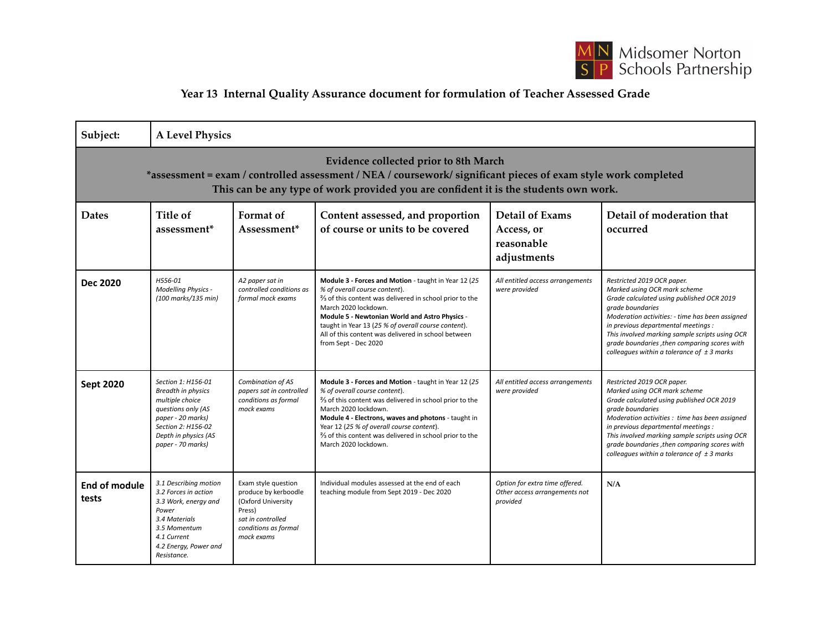

## **Year 13 Internal Quality Assurance document for formulation of Teacher Assessed Grade**

| Subject:                                                                                                                                                                                                                                        | <b>A Level Physics</b>                                                                                                                                                           |                                                                                                                                        |                                                                                                                                                                                                                                                                                                                                                                                                                   |                                                                             |                                                                                                                                                                                                                                                                                                                                                                            |  |  |  |  |
|-------------------------------------------------------------------------------------------------------------------------------------------------------------------------------------------------------------------------------------------------|----------------------------------------------------------------------------------------------------------------------------------------------------------------------------------|----------------------------------------------------------------------------------------------------------------------------------------|-------------------------------------------------------------------------------------------------------------------------------------------------------------------------------------------------------------------------------------------------------------------------------------------------------------------------------------------------------------------------------------------------------------------|-----------------------------------------------------------------------------|----------------------------------------------------------------------------------------------------------------------------------------------------------------------------------------------------------------------------------------------------------------------------------------------------------------------------------------------------------------------------|--|--|--|--|
| Evidence collected prior to 8th March<br>*assessment = exam / controlled assessment / NEA / coursework/ significant pieces of exam style work completed<br>This can be any type of work provided you are confident it is the students own work. |                                                                                                                                                                                  |                                                                                                                                        |                                                                                                                                                                                                                                                                                                                                                                                                                   |                                                                             |                                                                                                                                                                                                                                                                                                                                                                            |  |  |  |  |
| <b>Dates</b>                                                                                                                                                                                                                                    | Title of<br>assessment <sup>*</sup>                                                                                                                                              | Format of<br>Assessment <sup>*</sup>                                                                                                   | Content assessed, and proportion<br>of course or units to be covered                                                                                                                                                                                                                                                                                                                                              | <b>Detail of Exams</b><br>Access, or<br>reasonable<br>adjustments           | Detail of moderation that<br>occurred                                                                                                                                                                                                                                                                                                                                      |  |  |  |  |
| Dec 2020                                                                                                                                                                                                                                        | H556-01<br><b>Modelling Physics -</b><br>(100 marks/135 min)                                                                                                                     | A2 paper sat in<br>controlled conditions as<br>formal mock exams                                                                       | Module 3 - Forces and Motion - taught in Year 12 (25<br>% of overall course content).<br><sup>2</sup> / <sub>3</sub> of this content was delivered in school prior to the<br>March 2020 lockdown.<br>Module 5 - Newtonian World and Astro Physics -<br>taught in Year 13 (25 % of overall course content).<br>All of this content was delivered in school between<br>from Sept - Dec 2020                         | All entitled access arrangements<br>were provided                           | Restricted 2019 OCR paper.<br>Marked using OCR mark scheme<br>Grade calculated using published OCR 2019<br>grade boundaries<br>Moderation activities: - time has been assigned<br>in previous departmental meetings :<br>This involved marking sample scripts using OCR<br>grade boundaries , then comparing scores with<br>colleagues within a tolerance of $\pm$ 3 marks |  |  |  |  |
| <b>Sept 2020</b>                                                                                                                                                                                                                                | Section 1: H156-01<br><b>Breadth in physics</b><br>multiple choice<br>questions only (AS<br>paper - 20 marks)<br>Section 2: H156-02<br>Depth in physics (AS<br>paper - 70 marks) | Combination of AS<br>papers sat in controlled<br>conditions as formal<br>mock exams                                                    | Module 3 - Forces and Motion - taught in Year 12 (25<br>% of overall course content).<br><sup>2</sup> / <sub>3</sub> of this content was delivered in school prior to the<br>March 2020 lockdown.<br>Module 4 - Electrons, waves and photons - taught in<br>Year 12 (25 % of overall course content).<br><sup>2</sup> / <sub>3</sub> of this content was delivered in school prior to the<br>March 2020 lockdown. | All entitled access arrangements<br>were provided                           | Restricted 2019 OCR paper.<br>Marked using OCR mark scheme<br>Grade calculated using published OCR 2019<br>grade boundaries<br>Moderation activities : time has been assigned<br>in previous departmental meetings :<br>This involved marking sample scripts using OCR<br>grade boundaries , then comparing scores with<br>colleagues within a tolerance of $\pm$ 3 marks  |  |  |  |  |
| <b>End of module</b><br>tests                                                                                                                                                                                                                   | 3.1 Describing motion<br>3.2 Forces in action<br>3.3 Work, energy and<br>Power<br>3.4 Materials<br>3.5 Momentum<br>4.1 Current<br>4.2 Energy, Power and<br>Resistance.           | Exam style question<br>produce by kerboodle<br>(Oxford University<br>Press)<br>sat in controlled<br>conditions as formal<br>mock exams | Individual modules assessed at the end of each<br>teaching module from Sept 2019 - Dec 2020                                                                                                                                                                                                                                                                                                                       | Option for extra time offered.<br>Other access arrangements not<br>provided | N/A                                                                                                                                                                                                                                                                                                                                                                        |  |  |  |  |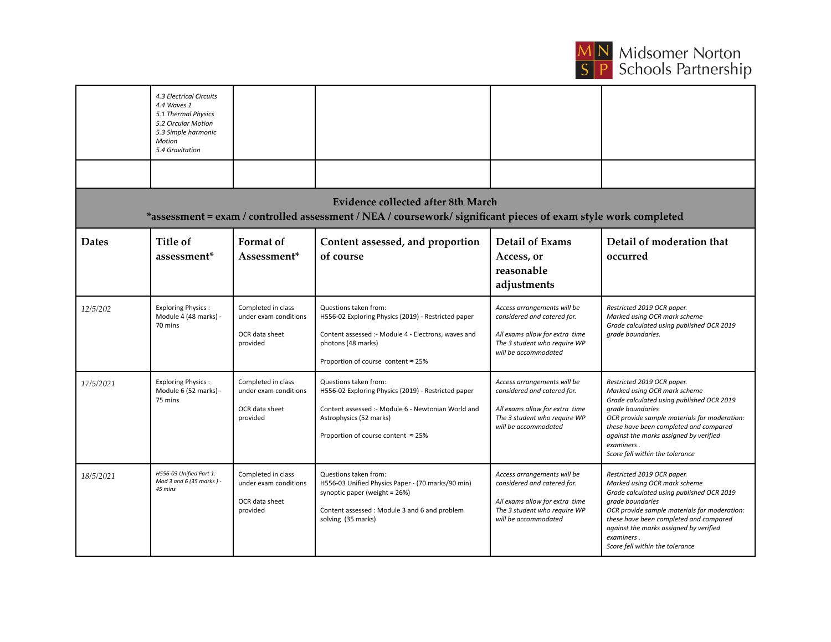

|                                                                                                                                                             | 4.3 Electrical Circuits<br>4.4 Waves 1<br>5.1 Thermal Physics<br>5.2 Circular Motion<br>5.3 Simple harmonic<br><b>Motion</b><br>5.4 Gravitation |                                                                           |                                                                                                                                                                                                     |                                                                                                                                                      |                                                                                                                                                                                                                                                                                                                  |  |  |  |  |
|-------------------------------------------------------------------------------------------------------------------------------------------------------------|-------------------------------------------------------------------------------------------------------------------------------------------------|---------------------------------------------------------------------------|-----------------------------------------------------------------------------------------------------------------------------------------------------------------------------------------------------|------------------------------------------------------------------------------------------------------------------------------------------------------|------------------------------------------------------------------------------------------------------------------------------------------------------------------------------------------------------------------------------------------------------------------------------------------------------------------|--|--|--|--|
| <b>Evidence collected after 8th March</b><br>*assessment = exam / controlled assessment / NEA / coursework/ significant pieces of exam style work completed |                                                                                                                                                 |                                                                           |                                                                                                                                                                                                     |                                                                                                                                                      |                                                                                                                                                                                                                                                                                                                  |  |  |  |  |
| <b>Dates</b>                                                                                                                                                | Title of<br>assessment <sup>*</sup>                                                                                                             | Format of<br>Assessment*                                                  | Content assessed, and proportion<br>of course                                                                                                                                                       | <b>Detail of Exams</b><br>Access, or<br>reasonable<br>adjustments                                                                                    | Detail of moderation that<br>occurred                                                                                                                                                                                                                                                                            |  |  |  |  |
| 12/5/202                                                                                                                                                    | <b>Exploring Physics:</b><br>Module 4 (48 marks) -<br>70 mins                                                                                   | Completed in class<br>under exam conditions<br>OCR data sheet<br>provided | Questions taken from:<br>H556-02 Exploring Physics (2019) - Restricted paper<br>Content assessed :- Module 4 - Electrons, waves and<br>photons (48 marks)<br>Proportion of course content ≈ 25%     | Access arrangements will be<br>considered and catered for.<br>All exams allow for extra time<br>The 3 student who require WP<br>will be accommodated | Restricted 2019 OCR paper.<br>Marked using OCR mark scheme<br>Grade calculated using published OCR 2019<br>grade boundaries.                                                                                                                                                                                     |  |  |  |  |
| 17/5/2021                                                                                                                                                   | <b>Exploring Physics:</b><br>Module 6 (52 marks) -<br>75 mins                                                                                   | Completed in class<br>under exam conditions<br>OCR data sheet<br>provided | Questions taken from:<br>H556-02 Exploring Physics (2019) - Restricted paper<br>Content assessed :- Module 6 - Newtonian World and<br>Astrophysics (52 marks)<br>Proportion of course content ≈ 25% | Access arrangements will be<br>considered and catered for.<br>All exams allow for extra time<br>The 3 student who require WP<br>will be accommodated | Restricted 2019 OCR paper.<br>Marked using OCR mark scheme<br>Grade calculated using published OCR 2019<br>grade boundaries<br>OCR provide sample materials for moderation:<br>these have been completed and compared<br>against the marks assigned by verified<br>examiners.<br>Score fell within the tolerance |  |  |  |  |
| 18/5/2021                                                                                                                                                   | H556-03 Unified Part 1:<br>Mod 3 and 6 (35 marks) -<br>45 mins                                                                                  | Completed in class<br>under exam conditions<br>OCR data sheet<br>provided | Questions taken from:<br>H556-03 Unified Physics Paper - (70 marks/90 min)<br>synoptic paper (weight = 26%)<br>Content assessed: Module 3 and 6 and problem<br>solving (35 marks)                   | Access arrangements will be<br>considered and catered for.<br>All exams allow for extra time<br>The 3 student who require WP<br>will be accommodated | Restricted 2019 OCR paper.<br>Marked using OCR mark scheme<br>Grade calculated using published OCR 2019<br>grade boundaries<br>OCR provide sample materials for moderation:<br>these have been completed and compared<br>against the marks assigned by verified<br>examiners.<br>Score fell within the tolerance |  |  |  |  |